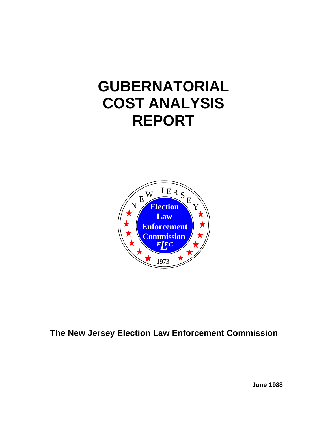# **GUBERNATORIAL COST ANALYSIS REPORT**



# **The New Jersey Election Law Enforcement Commission**

**June 1988**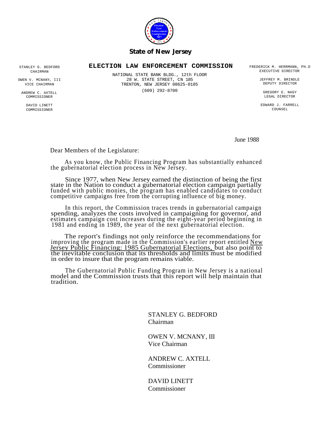

#### *State of New Jersey*

#### **ELECTION LAW ENFORCEMENT COMMISSION** FREDERICK M. HERRMANN, PH.D

STANLEY G. BEDFORD CHAIRMAN

OWEN V. MCNANY, III VICE CHAIRMAN

ANDREW C. AXTELL **COMMISSIONER** 

> DAVID LINETT **COMMISSIONER**

NATIONAL STATE BANK BLDG., 12th FLOOR 28 W. STATE STREET, CN 185 TRENTON, NEW JERSEY 08625-0185 (609) 292-8700

EXECUTIVE DIRECTOR

JEFFREY M. BRINDLE DEPUTY DIRECTOR

GREGORY E. NAGY LEGAL DIRECTOR

EDWARD J. FARRELL COUNSEL

June 1988

Dear Members of the Legislature:

As you know, the Public Financing Program has substantially enhanced the gubernatorial election process in New Jersey.

Since 1977, when New Jersey earned the distinction of being the first state in the Nation to conduct a gubernatorial election campaign partially funded with public monies, the program has enabled candidates to conduct competitive campaigns free from the corrupting influence of big money.

In this report, the Commission traces trends in gubernatorial campaign spending, analyzes the costs involved in campaigning for governor, and estimates campaign cost increases during the eight-year period beginning in 1981 and ending in 1989, the year of the next gubernatorial election.

The report's findings not only reinforce the recommendations for improving the program made in the Commission's earlier report entitled New Jersey Public Financing: 1985 Gubernatorial Elections, but also point to the inevitable conclusion that its thresholds and limits must be modified in order to insure that the program remains viable.

The Gubernatorial Public Funding Program in New Jersey is a national model and the Commission trusts that this report will help maintain that tradition.

> STANLEY G. BEDFORD Chairman

OWEN V. MCNANY, III Vice Chairman

ANDREW C. AXTELL Commissioner

DAVID LINETT Commissioner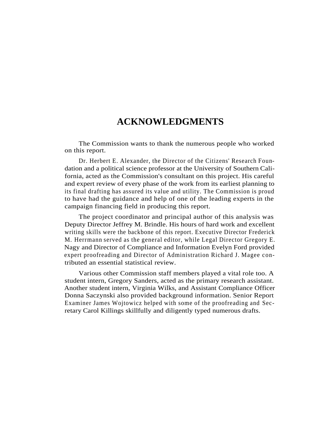### **ACKNOWLEDGMENTS**

The Commission wants to thank the numerous people who worked on this report.

Dr. Herbert E. Alexander, the Director of the Citizens' Research Foundation and a political science professor at the University of Southern California, acted as the Commission's consultant on this project. His careful and expert review of every phase of the work from its earliest planning to its final drafting has assured its value and utility. The Commission is proud to have had the guidance and help of one of the leading experts in the campaign financing field in producing this report.

The project coordinator and principal author of this analysis was Deputy Director Jeffrey M. Brindle. His hours of hard work and excellent writing skills were the backbone of this report. Executive Director Frederick M. Herrmann served as the general editor, while Legal Director Gregory E. Nagy and Director of Compliance and Information Evelyn Ford provided expert proofreading and Director of Administration Richard J. Magee contributed an essential statistical review.

Various other Commission staff members played a vital role too. A student intern, Gregory Sanders, acted as the primary research assistant. Another student intern, Virginia Wilks, and Assistant Compliance Officer Donna Saczynski also provided background information. Senior Report Examiner James Wojtowicz helped with some of the proofreading and Secretary Carol Killings skillfully and diligently typed numerous drafts.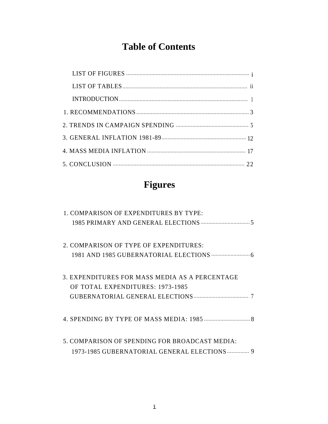# **Table of Contents**

# **Figures**

| 1. COMPARISON OF EXPENDITURES BY TYPE:                                                         |
|------------------------------------------------------------------------------------------------|
| 2. COMPARISON OF TYPE OF EXPENDITURES:                                                         |
| 3. EXPENDITURES FOR MASS MEDIA AS A PERCENTAGE<br>OF TOTAL EXPENDITURES: 1973-1985             |
|                                                                                                |
| 5. COMPARISON OF SPENDING FOR BROADCAST MEDIA:<br>1973-1985 GUBERNATORIAL GENERAL ELECTIONS  9 |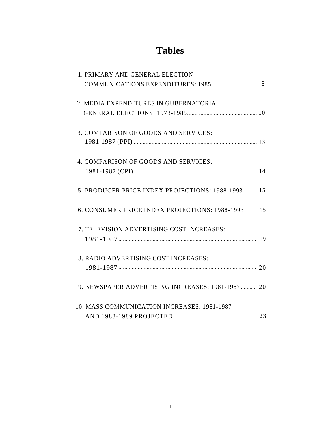# **Tables**

| 1. PRIMARY AND GENERAL ELECTION                    |
|----------------------------------------------------|
|                                                    |
| 2. MEDIA EXPENDITURES IN GUBERNATORIAL             |
|                                                    |
| 3. COMPARISON OF GOODS AND SERVICES:               |
|                                                    |
| 4. COMPARISON OF GOODS AND SERVICES:               |
|                                                    |
| 5. PRODUCER PRICE INDEX PROJECTIONS: 1988-1993  15 |
| 6. CONSUMER PRICE INDEX PROJECTIONS: 1988-1993 15  |
| 7. TELEVISION ADVERTISING COST INCREASES:          |
|                                                    |
| 8. RADIO ADVERTISING COST INCREASES:               |
|                                                    |
| 9. NEWSPAPER ADVERTISING INCREASES: 1981-1987  20  |
| 10. MASS COMMUNICATION INCREASES: 1981-1987        |
|                                                    |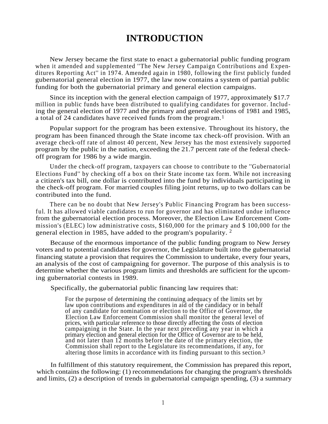### **INTRODUCTION**

New Jersey became the first state to enact a gubernatorial public funding program when it amended and supplemented ''The New Jersey Campaign Contributions and Expenditures Reporting Act'' in 1974. Amended again in 1980, following the first publicly funded gubernatorial general election in 1977, the law now contains a system of partial public funding for both the gubernatorial primary and general election campaigns.

Since its inception with the general election campaign of 1977, approximately \$17.7 million in public funds have been distributed to qualifying candidates for governor. Includ ing the general election of 1977 and the primary and general elections of 1981 and 1985, a total of 24 candidates have received funds from the program. 1

Popular support for the program has been extensive. Throughout its history, the program has been financed through the State income tax check-off provision. With an average check-off rate of almost 40 percent, New Jersey has the most extensively supported program by the public in the nation, exceeding the 21.7 percent rate of the federal checkoff program for 1986 by a wide margin.

Under the check-off program, taxpayers can choose to contribute to the ''Gubernatorial Elections Fund'' by checking off a box on their State income tax form. While not increasing a citizen's tax bill, one dollar is contributed into the fund by individuals participating in the check-off program. For married couples filing joint returns, up to two dollars can be contributed into the fund.

There can be no doubt that New Jersey's Public Financing Program has been successful. It has allowed viable candidates to run for governor and has eliminated undue influence from the gubernatorial election process. Moreover, the Election Law Enforcement Commission's (ELEC) low administrative costs, \$160,000 for the primary and \$ 100,000 for the general election in 1985, have added to the program's popularity.  $2$ 

Because of the enormous importance of the public funding program to New Jersey voters and to potential candidates for governor, the Legislature built into the gubernatorial financing statute a provision that requires the Commission to undertake, every four years, an analysis of the cost of campaigning for governor. The purpose of this analysis is to determine whether the various program limits and thresholds are sufficient for the upcoming gubernatorial contests in 1989.

Specifically, the gubernatorial public financing law requires that:

For the purpose of determining the continuing adequacy of the limits set by law upon contributions and expenditures in aid of the candidacy or in behalf of any candidate for nomination or election to the Office of Governor, the Election Law Enforcement Commission shall monitor the general level of prices, with particular reference to those directly affecting the costs of election campaigning in the State. In the year next preceding any year in which a primary election and general election for the Office of Governor are to be held, and not later than 12 months before the date of the primary election, the Commission shall report to the Legislature its recommendations, if any, for altering those limits in accordance with its finding pursuant to this section. 3

In fulfillment of this statutory requirement, the Commission has prepared this report, which contains the following: (1) recommendations for changing the program's thresholds and limits, (2) a description of trends in gubernatorial campaign spending, (3) a summary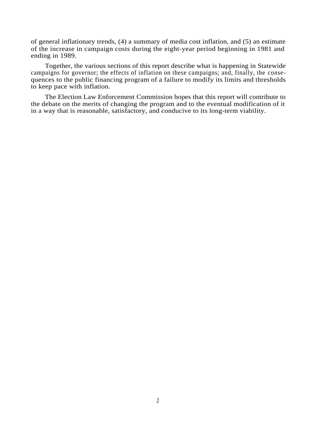of general inflationary trends, (4) a summary of media cost inflation, and (5) an estimate of the increase in campaign costs during the eight-year period beginning in 1981 and ending in 1989.

Together, the various sections of this report describe what is happening in Statewide campaigns for governor; the effects of inflation on these campaigns; and, finally, the consequences to the public financing program of a failure to modify its limits and thresholds to keep pace with inflation.

The Election Law Enforcement Commission hopes that this report will contribute to the debate on the merits of changing the program and to the eventual modification of it in a way that is reasonable, satisfactory, and conducive to its long-term viability.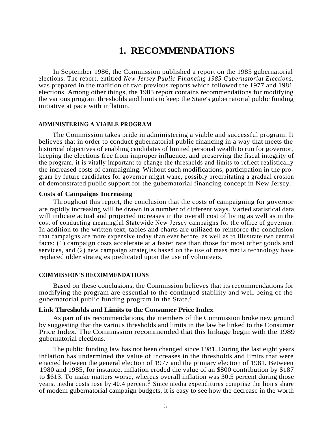# **1. RECOMMENDATIONS**

In September 1986, the Commission published a report on the 1985 gubernatorial elections. The report, entitled *New Jersey Public Financing 1985 Gubernatorial Elections,* was prepared in the tradition of two previous reports which followed the 1977 and 1981 elections. Among other things, the 1985 report contains recommendations for modifying the various program thresholds and limits to keep the State's gubernatorial public funding initiative at pace with inflation.

#### **ADMINISTERING A VIABLE PROGRAM**

The Commission takes pride in administering a viable and successful program. It believes that in order to conduct gubernatorial public financing in a way that meets the historical objectives of enabling candidates of limited personal wealth to run for governor, keeping the elections free from improper influence, and preserving the fiscal integrity of the program, it is vitally important to change the thresholds and limits to reflect realistically the increased costs of campaigning. Without such modifications, participation in the program by future candidates for governor might wane, possibly precipitating a gradual erosion of demonstrated public support for the gubernatorial financing concept in New Jersey.

#### **Costs of Campaigns Increasing**

Throughout this report, the conclusion that the costs of campaigning for governor are rapidly increasing will be drawn in a number of different ways. Varied statistical data will indicate actual and projected increases in the overall cost of living as well as in the cost of conducting meaningful Statewide New Jersey campaigns for the office of governor. In addition to the written text, tables and charts are utilized to reinforce the conclusion that campaigns are more expensive today than ever before, as well as to illustrate two central facts: (1) campaign costs accelerate at a faster rate than those for most other goods and services, and (2) new campaign strategies based on the use of mass media technology have replaced older strategies predicated upon the use of volunteers.

#### **COMMISSION'S RECOMMENDATIONS**

Based on these conclusions, the Commission believes that its recommendations for modifying the program are essential to the continued stability and well being of the gubernatorial public funding program in the State. 4

#### **Link Thresholds and Limits to the Consumer Price Index**

As part of its recommendations, the members of the Commission broke new ground by suggesting that the various thresholds and limits in the law be linked to the Consumer Price Index. The Commission recommended that this linkage begin with the 1989 gubernatorial elections.

The public funding law has not been changed since 1981. During the last eight years inflation has undermined the value of increases in the thresholds and limits that were enacted between the general election of 1977 and the primary election of 1981. Between 1980 and 1985, for instance, inflation eroded the value of an \$800 contribution by \$187 to \$613. To make matters worse, whereas overall inflation was 30.5 percent during those years, media costs rose by 40.4 percent.<sup>5</sup> Since media expenditures comprise the lion's share of modem gubernatorial campaign budgets, it is easy to see how the decrease in the worth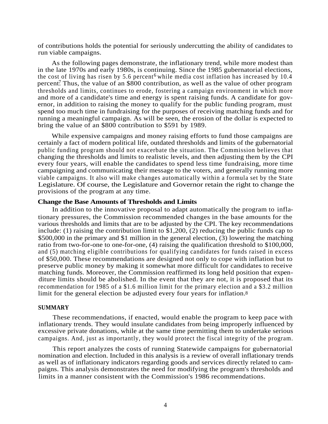of contributions holds the potential for seriously undercutting the ability of candidates to run viable campaigns.

As the following pages demonstrate, the inflationary trend, while more modest than in the late 1970s and early 1980s, is continuing. Since the 1985 gubernatorial elections, the cost of living has risen by 5.6 percent<sup>6</sup> while media cost inflation has increased by 10.4 percent? Thus, the value of an \$800 contribution, as well as the value of other program thresholds and limits, continues to erode, fostering a campaign environment in which more and more of a candidate's time and energy is spent raising funds. A candidate for governor, in addition to raising the money to qualify for the public funding program, must spend too much time in fundraising for the purposes of receiving matching funds and for running a meaningful campaign. As will be seen, the erosion of the dollar is expected to bring the value of an \$800 contribution to \$591 by 1989.

While expensive campaigns and money raising efforts to fund those campaigns are certainly a fact of modern political life, outdated thresholds and limits of the gubernatorial public funding program should not exacerbate the situation. The Commission believes that changing the thresholds and limits to realistic levels, and then adjusting them by the CPI every four years, will enable the candidates to spend less time fundraising, more time campaigning and communicating their message to the voters, and generally running more viable campaigns. It also will make changes automatically within a formula set by the State Legislature. Of course, the Legislature and Governor retain the right to change the provisions of the program at any time.

#### **Change the Base Amounts of Thresholds and Limits**

In addition to the innovative proposal to adapt automatically the program to inflationary pressures, the Commission recommended changes in the base amounts for the various thresholds and limits that are to be adjusted by the CPI. The key recommendations include: (1) raising the contribution limit to \$1,200, (2) reducing the public funds cap to \$500,000 in the primary and \$1 million in the general election, (3) lowering the matching ratio from two-for-one to one-for-one, (4) raising the qualification threshold to \$100,000, and (5) matching eligible contributions for qualifying candidates for funds raised in excess of \$50,000. These recommendations are designed not only to cope with inflation but to preserve public money by making it somewhat more difficult for candidates to receive matching funds. Moreover, the Commission reaffirmed its long held position that expenditure limits should be abolished. In the event that they are not, it is proposed that its recommendation for 1985 of a \$1.6 million limit for the primary election and a \$3.2 million limit for the general election be adjusted every four years for inflation. 8

#### **SUMMARY**

These recommendations, if enacted, would enable the program to keep pace with inflationary trends. They would insulate candidates from being improperly influenced by excessive private donations, while at the same time permitting them to undertake serious campaigns. And, just as importantly, they would protect the fiscal integrity of the program.

This report analyzes the costs of running Statewide campaigns for gubernatorial nomination and election. Included in this analysis is a review of overall inflationary trends as well as of inflationary indicators regarding goods and services directly related to campaigns. This analysis demonstrates the need for modifying the program's thresholds and limits in a manner consistent with the Commission's 1986 recommendations.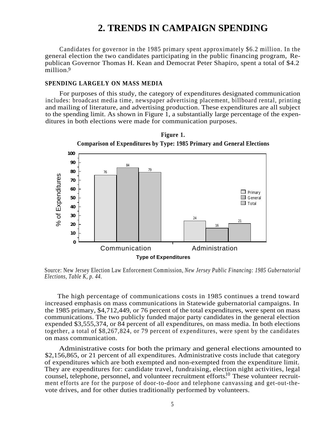### **2. TRENDS IN CAMPAIGN SPENDING**

Candidates for governor in the 1985 primary spent approximately \$6.2 million. In the general election the two candidates participating in the public financing program, Republican Governor Thomas H. Kean and Democrat Peter Shapiro, spent a total of \$4.2 million. 9

#### **SPENDING LARGELY ON MASS MEDIA**

For purposes of this study, the category of expenditures designated communication includes: broadcast media time, newspaper advertising placement, billboard rental, printing and mailing of literature, and advertising production. These expenditures are all subject to the spending limit. As shown in Figure 1, a substantially large percentage of the expenditures in both elections were made for communication purposes.



Source: New Jersey Election Law Enforcement Commission, *New Jersey Public Financing: 1985 Gubernatorial Elections, Table K, p. 44.*

The high percentage of communications costs in 1985 continues a trend toward increased emphasis on mass communications in Statewide gubernatorial campaigns. In the 1985 primary, \$4,712,449, or 76 percent of the total expenditures, were spent on mass communications. The two publicly funded major party candidates in the general election expended \$3,555,374, or 84 percent of all expenditures, on mass media. In both elections together, a total of \$8,267,824, or 79 percent of expenditures, were spent by the candidates on mass communication.

Administrative costs for both the primary and general elections amounted to \$2,156,865, or 21 percent of all expenditures. Administrative costs include that category of expenditures which are both exempted and non-exempted from the expenditure limit. They are expenditures for: candidate travel, fundraising, election night activities, legal counsel, telephone, personnel, and volunteer recruitment efforts.<sup>10</sup> These volunteer recruitment efforts are for the purpose of door-to-door and telephone canvassing and get-out-thevote drives, and for other duties traditionally performed by volunteers.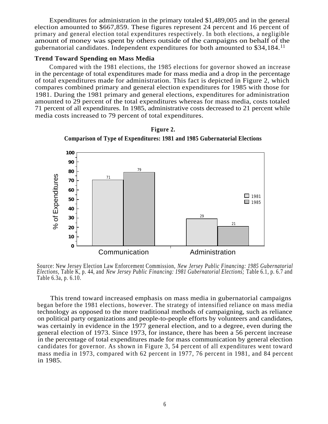Expenditures for administration in the primary totaled \$1,489,005 and in the general election amounted to \$667,859. These figures represent 24 percent and 16 percent of primary and general election total expenditures respectively. In both elections, a negligible amount of money was spent by others outside of the campaigns on behalf of the gubernatorial candidates. Independent expenditures for both amounted to \$34,184. 11

#### **Trend Toward Spending on Mass Media**

Compared with the 1981 elections, the 1985 elections for governor showed an increase in the percentage of total expenditures made for mass media and a drop in the percentage of total expenditures made for administration. This fact is depicted in Figure 2, which compares combined primary and general election expenditures for 1985 with those for 1981. During the 1981 primary and general elections, expenditures for administration amounted to 29 percent of the total expenditures whereas for mass media, costs totaled 71 percent of all expenditures. In 1985, administrative costs decreased to 21 percent while media costs increased to 79 percent of total expenditures.





Source: New Jersey Election Law Enforcement Commission, *New Jersey Public Financing: 1985 Gubernatorial Elections,* Table K, p. 44, and *New Jersey Public Financing: 1981 Gubernatorial Elections;* Table 6.1, p. 6.7 and Table 6.3a, p. 6.10.

This trend toward increased emphasis on mass media in gubernatorial campaigns began before the 1981 elections, however. The strategy of intensified reliance on mass media technology as opposed to the more traditional methods of campaigning, such as reliance on political party organizations and people-to-people efforts by volunteers and candidates, was certainly in evidence in the 1977 general election, and to a degree, even during the general election of 1973. Since 1973, for instance, there has been a 56 percent increase in the percentage of total expenditures made for mass communication by general election candidates for governor. As shown in Figure 3, 54 percent of all expenditures went toward mass media in 1973, compared with 62 percent in 1977, 76 percent in 1981, and 84 percent in 1985.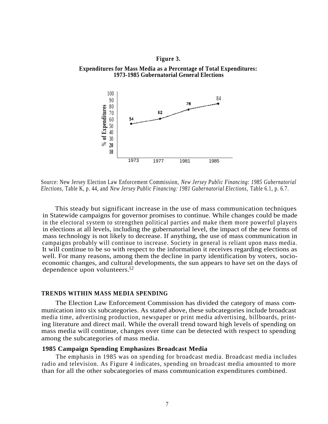#### **Figure 3.**





Source: New Jersey Election Law Enforcement Commission, *New Jersey Public Financing: 1985 Gubernatorial Elections,* Table K, p. 44, and *New Jersey Public Financing: 1981 Gubernatorial Elections,* Table 6.1, p. 6.7.

This steady but significant increase in the use of mass communication techniques in Statewide campaigns for governor promises to continue. While changes could be made in the electoral system to strengthen political parties and make them more powerful players in elections at all levels, including the gubernatorial level, the impact of the new forms of mass technology is not likely to decrease. If anything, the use of mass communication in campaigns probably will continue to increase. Society in general is reliant upon mass media. It will continue to be so with respect to the information it receives regarding elections as well. For many reasons, among them the decline in party identification by voters, socioeconomic changes, and cultural developments, the sun appears to have set on the days of dependence upon volunteers.<sup>12</sup>

#### **TRENDS WITHIN MASS MEDIA SPENDING**

The Election Law Enforcement Commission has divided the category of mass communication into six subcategories. As stated above, these subcategories include broadcast media time, advertising production, newspaper or print media advertising, billboards, printing literature and direct mail. While the overall trend toward high levels of spending on mass media will continue, changes over time can be detected with respect to spending among the subcategories of mass media.

#### **1985 Campaign Spending Emphasizes Broadcast Media**

The emphasis in 1985 was on spending for broadcast media. Broadcast media includes radio and television. As Figure 4 indicates, spending on broadcast media amounted to more than for all the other subcategories of mass communication expenditures combined.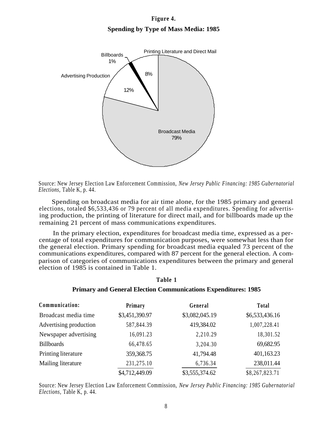### **Figure 4. Spending by Type of Mass Media: 1985**



Source: New Jersey Election Law Enforcement Commission, *New Jersey Public Financing: 1985 Gubernatorial Elections,* Table K, p. 44.

Spending on broadcast media for air time alone, for the 1985 primary and general elections, totaled \$6,533,436 or 79 percent of all media expenditures. Spending for advertising production, the printing of literature for direct mail, and for billboards made up the remaining 21 percent of mass communications expenditures.

In the primary election, expenditures for broadcast media time, expressed as a percentage of total expenditures for communication purposes, were somewhat less than for the general election. Primary spending for broadcast media equaled 73 percent of the communications expenditures, compared with 87 percent for the general election. A comparison of categories of communications expenditures between the primary and general election of 1985 is contained in Table 1.

#### **Table 1**

#### **Primary and General Election Communications Expenditures: 1985**

| Communication:         | Primary        | General        | <b>Total</b>   |
|------------------------|----------------|----------------|----------------|
| Broadcast media time   | \$3,451,390.97 | \$3,082,045.19 | \$6,533,436.16 |
| Advertising production | 587,844.39     | 419,384.02     | 1,007,228.41   |
| Newspaper advertising  | 16,091.23      | 2,210.29       | 18,301.52      |
| <b>Billboards</b>      | 66,478.65      | 3,204.30       | 69,682.95      |
| Printing literature    | 359,368.75     | 41,794.48      | 401,163.23     |
| Mailing literature     | 231,275.10     | 6,736.34       | 238,011.44     |
|                        | \$4,712,449.09 | \$3,555,374.62 | \$8,267,823.71 |

Source: New Jersey Election Law Enforcement Commission, *New Jersey Public Financing: 1985 Gubernatorial Elections,* Table K, p. 44.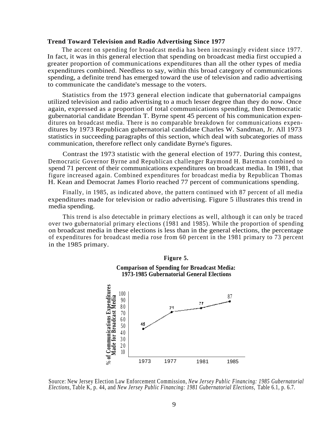#### **Trend Toward Television and Radio Advertising Since 1977**

The accent on spending for broadcast media has been increasingly evident since 1977. In fact, it was in this general election that spending on broadcast media first occupied a greater proportion of communications expenditures than all the other types of media expenditures combined. Needless to say, within this broad category of communications spending, a definite trend has emerged toward the use of television and radio advertising to communicate the candidate's message to the voters.

Statistics from the 1973 general election indicate that gubernatorial campaigns utilized television and radio advertising to a much lesser degree than they do now. Once again, expressed as a proportion of total communications spending, then Democratic gubernatorial candidate Brendan T. Byrne spent 45 percent of his communication expenditures on broadcast media. There is no comparable breakdown for communications expenditures by 1973 Republican gubernatorial candidate Charles W. Sandman, Jr. All 1973 statistics in succeeding paragraphs of this section, which deal with subcategories of mass communication, therefore reflect only candidate Byrne's figures.

Contrast the 1973 statistic with the general election of 1977. During this contest, Democratic Governor Byrne and Republican challenger Raymond H. Bateman combined to spend 71 percent of their communications expenditures on broadcast media. In 1981, that figure increased again. Combined expenditures for broadcast media by Republican Thomas H. Kean and Democrat James Florio reached 77 percent of communications spending.

Finally, in 1985, as indicated above, the pattern continued with 87 percent of all media expenditures made for television or radio advertising. Figure 5 illustrates this trend in media spending.

This trend is also detectable in primary elections as well, although it can only be traced over two gubernatorial primary elections (1981 and 1985). While the proportion of spending on broadcast media in these elections is less than in the general elections, the percentage of expenditures for broadcast media rose from 60 percent in the 1981 primary to 73 percent in the 1985 primary.



Source: New Jersey Election Law Enforcement Commission, *New Jersey Public Financing: 1985 Gubernatorial Elections,* Table K, p. 44, and *New Jersey Public Financing: 1981 Gubernatorial Elections,* Table 6.1, p. 6.7.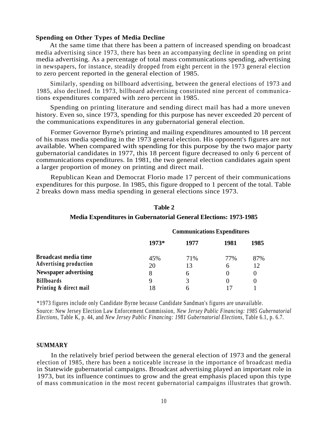#### **Spending on Other Types of Media Decline**

At the same time that there has been a pattern of increased spending on broadcast media advertising since 1973, there has been an accompanying decline in spending on print media advertising. As a percentage of total mass communications spending, advertising in newspapers, for instance, steadily dropped from eight percent in the 1973 general election to zero percent reported in the general election of 1985.

Similarly, spending on billboard advertising, between the general elections of 1973 and 1985, also declined. In 1973, billboard advertising constituted nine percent of communications expenditures compared with zero percent in 1985.

Spending on printing literature and sending direct mail has had a more uneven history. Even so, since 1973, spending for this purpose has never exceeded 20 percent of the communications expenditures in any gubernatorial general election.

Former Governor Byrne's printing and mailing expenditures amounted to 18 percent of his mass media spending in the 1973 general election. His opponent's figures are not available. When compared with spending for this purpose by the two major party gubernatorial candidates in 1977, this 18 percent figure decreased to only 6 percent of communications expenditures. In 1981, the two general election candidates again spent a larger proportion of money on printing and direct mail.

Republican Kean and Democrat Florio made 17 percent of their communications expenditures for this purpose. In 1985, this figure dropped to 1 percent of the total. Table 2 breaks down mass media spending in general elections since 1973.

|                                                              | <b>Communications Expenditures</b> |              |                     |           |
|--------------------------------------------------------------|------------------------------------|--------------|---------------------|-----------|
|                                                              | 1973*                              | 1977         | 1981                | 1985      |
| <b>Broadcast media time</b><br><b>Advertising production</b> | 45%<br>20                          | 71%<br>13    | 77%<br><sub>0</sub> | 87%<br>12 |
| <b>Newspaper advertising</b>                                 | 8                                  | <sub>0</sub> |                     |           |
| <b>Billboards</b>                                            |                                    |              | $\theta$            |           |
| Printing & direct mail                                       | 18                                 |              |                     |           |

#### **Table 2**

#### **Media Expenditures in Gubernatorial General Elections: 1973-1985**

\*1973 figures include only Candidate Byrne because Candidate Sandman's figures are unavailable. Source: New Jersey Election Law Enforcement Commission, *New Jersey Public Financing: 1985 Gubernatorial Elections,* Table K, p. 44, and *New Jersey Public Financing: 1981 Gubernatorial Elections,* Table 6.1, p. 6.7.

#### **SUMMARY**

In the relatively brief period between the general election of 1973 and the general election of 1985, there has been a noticeable increase in the importance of broadcast media in Statewide gubernatorial campaigns. Broadcast advertising played an important role in 1973, but its influence continues to grow and the great emphasis placed upon this type of mass communication in the most recent gubernatorial campaigns illustrates that growth.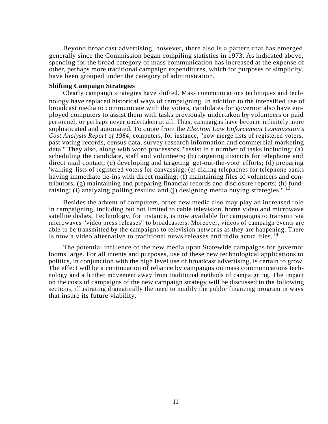Beyond broadcast advertising, however, there also is a pattern that has emerged generally since the Commission began compiling statistics in 1973. As indicated above, spending for the broad category of mass communication has increased at the expense of other, perhaps more traditional campaign expenditures, which for purposes of simplicity, have been grouped under the category of administration.

#### **Shifting Campaign Strategies**

Clearly campaign strategies have shifted. Mass communications techniques and technology have replaced historical ways of campaigning. In addition to the intensified use of broadcast media to communicate with the voters, candidates for governor also have employed computers to assist them with tasks previously undertaken by volunteers or paid personnel, or perhaps never undertaken at all. Thus, campaigns have become infinitely more sophisticated and automated. To quote from the *Election Law Enforcement Commission's Cost Analysis Report of 1984,* computers, for instance, ''now merge lists of registered voters, past voting records, census data, survey research information and commercial marketing data.'' They also, along with word processors, ''assist in a number of tasks including: (a) scheduling the candidate, staff and volunteers; (b) targeting districts for telephone and direct mail contact; (c) developing and targeting 'get-out-the-vote' efforts; (d) preparing 'walking' lists of registered voters for canvassing; (e) dialing telephones for telephone banks having immediate tie-ins with direct mailing; (f) maintaining files of volunteers and contributors; (g) maintaining and preparing financial records and disclosure reports; (h) fundraising; (i) analyzing polling results; and (j) designing media buying strategies."<sup>13</sup>

Besides the advent of computers, other new media also may play an increased role in campaigning, including but not limited to cable television, home video and microwave satellite dishes. Technology, for instance, is now available for campaigns to transmit via microwaves ''video press releases'' to broadcasters. Moreover, videos of campaign events are able to be transmitted by the campaigns to television networks as they are happening. There is now a video alternative to traditional news releases and radio actualities.<sup>14</sup>

The potential influence of the new media upon Statewide campaigns for governor looms large. For all intents and purposes, use of these new technological applications to politics, in conjunction with the high level use of broadcast advertising, is certain to grow. The effect will be a continuation of reliance by campaigns on mass communications technology and a further movement away from traditional methods of campaigning. The impact on the costs of campaigns of the new campaign strategy will be discussed in the following sections, illustrating dramatically the need to modify the public financing program in ways that insure its future viability.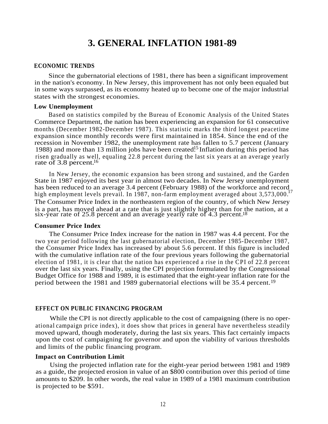### **3. GENERAL INFLATION 1981-89**

#### **ECONOMIC TRENDS**

Since the gubernatorial elections of 1981, there has been a significant improvement in the nation's economy. In New Jersey, this improvement has not only been equaled but in some ways surpassed, as its economy heated up to become one of the major industrial states with the strongest economies.

#### **Low Unemployment**

Based on statistics compiled by the Bureau of Economic Analysis of the United States Commerce Department, the nation has been experiencing an expansion for 61 consecutive months (December 1982-December 1987). This statistic marks the third longest peacetime expansion since monthly records were first maintained in 1854. Since the end of the recession in November 1982, the unemployment rate has fallen to 5.7 percent (January 1988) and more than 13 million jobs have been created.<sup>15</sup> Inflation during this period has risen gradually as well, equaling 22.8 percent during the last six years at an average yearly rate of  $3.8$  percent.<sup>16</sup>

In New Jersey, the economic expansion has been strong and sustained, and the Garden State in 1987 enjoyed its best year in almost two decades. In New Jersey unemployment has been reduced to an average 3.4 percent (February 1988) of the workforce and record high employment levels prevail. In 1987, non-farm employment averaged about 3,573,000.<sup>17</sup> The Consumer Price Index in the northeastern region of the country, of which New Jersey is a part, has moved ahead at a rate that is just slightly higher than for the nation, at a six-year rate of 25.8 percent and an average yearly rate of 4.3 percent.<sup>18</sup>

#### **Consumer Price Index**

The Consumer Price Index increase for the nation in 1987 was 4.4 percent. For the two year period following the last gubernatorial election, December 1985-December 1987, the Consumer Price Index has increased by about 5.6 percent. If this figure is included with the cumulative inflation rate of the four previous years following the gubernatorial election of 1981, it is clear that the nation has experienced a rise in the CPI of 22.8 percent over the last six years. Finally, using the CPI projection formulated by the Congressional Budget Office for 1988 and 1989, it is estimated that the eight-year inflation rate for the period between the 1981 and 1989 gubernatorial elections will be 35.4 percent.<sup>19</sup>

#### **EFFECT ON PUBLIC FINANCING PROGRAM**

While the CPI is not directly applicable to the cost of campaigning (there is no operational campaign price index), it does show that prices in general have nevertheless steadily moved upward, though moderately, during the last six years. This fact certainly impacts upon the cost of campaigning for governor and upon the viability of various thresholds and limits of the public financing program.

#### **Impact on Contribution Limit**

Using the projected inflation rate for the eight-year period between 1981 and 1989 as a guide, the projected erosion in value of an \$800 contribution over this period of time amounts to \$209. In other words, the real value in 1989 of a 1981 maximum contribution is projected to be \$591.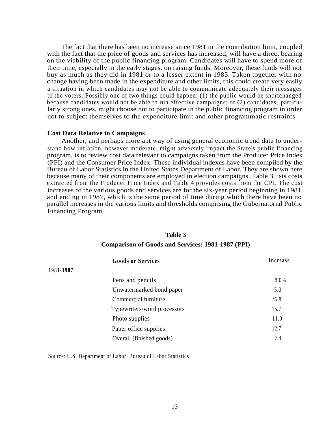The fact that there has been no increase since 1981 in the contribution limit, coupled with the fact that the price of goods and services has increased, will have a direct bearing on the viability of the public financing program. Candidates will have to spend more of their time, especially in the early stages, on raising funds. Moreover, these funds will not buy as much as they did in 1981 or to a lesser extent in 1985. Taken together with no change having been made in the expenditure and other limits, this could create very easily a situation in which candidates may not be able to communicate adequately their messages to the voters. Possibly one of two things could happen: (1) the public would be shortchanged because candidates would not be able to run effective campaigns; or (2) candidates, particularly strong ones, might choose not to participate in the public financing program in order not to subject themselves to the expenditure limit and other programmatic restraints.

#### **Cost Data Relative to Campaigns**

Another, and perhaps more apt way of using general economic trend data to understand how inflation, however moderate, might adversely impact the State's public financing program, is to review cost data relevant to campaigns taken from the Producer Price Index (PPI) and the Consumer Price Index. These individual indexes have been compiled by the Bureau of Labor Statistics in the United States Department of Labor. They are shown here because many of their components are employed in election campaigns. Table 3 lists costs extracted from the Producer Price Index and Table 4 provides costs from the CPI. The cost increases of the various goods and services are for the six-year period beginning in 1981 and ending in 1987, which is the same period of time during which there have been no parallel increases in the various limits and thresholds comprising the Gubernatorial Public Financing Program.

#### **Table 3**

#### **Comparison of Goods and Services: 1981-1987 (PPI)**

|           | <b>Goods or Services</b>    | Increase |
|-----------|-----------------------------|----------|
| 1981-1987 |                             |          |
|           | Pens and pencils            | 8.0%     |
|           | Unwatermarked bond paper    | 5.0      |
|           | Commercial furniture        | 25.8     |
|           | Typewriters/word processors | 15.7     |
|           | Photo supplies              | 11.0     |
|           | Paper office supplies       | 12.7     |
|           | Overall (finished goods)    | 7.8      |

Source: U.S. Department of Labor, Bureau of Labor Statistics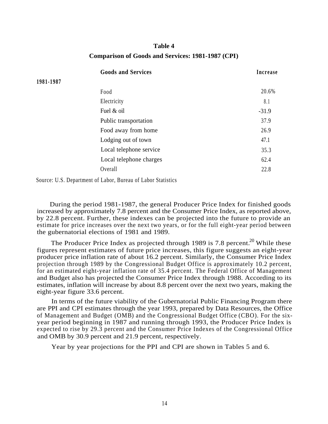### **Table 4 Comparison of Goods and Services: 1981-1987 (CPI)**

|           | <b>Goods and Services</b> | Increase |
|-----------|---------------------------|----------|
| 1981-1987 |                           |          |
|           | Food                      | 20.6%    |
|           | Electricity               | 8.1      |
|           | Fuel & oil                | $-31.9$  |
|           | Public transportation     | 37.9     |
|           | Food away from home       | 26.9     |
|           | Lodging out of town       | 47.1     |
|           | Local telephone service   | 35.3     |
|           | Local telephone charges   | 62.4     |
|           | Overall                   | 22.8     |
|           |                           |          |

Source: U.S. Department of Labor, Bureau of Labor Statistics

During the period 1981-1987, the general Producer Price Index for finished goods increased by approximately 7.8 percent and the Consumer Price Index, as reported above, by 22.8 percent. Further, these indexes can be projected into the future to provide an estimate for price increases over the next two years, or for the full eight-year period between the gubernatorial elections of 1981 and 1989.

The Producer Price Index as projected through 1989 is 7.8 percent.<sup>20</sup> While these figures represent estimates of future price increases, this figure suggests an eight-year producer price inflation rate of about 16.2 percent. Similarly, the Consumer Price Index projection through 1989 by the Congressional Budget Office is approximately 10.2 percent, for an estimated eight-year inflation rate of 35.4 percent. The Federal Office of Management and Budget also has projected the Consumer Price Index through 1988. According to its estimates, inflation will increase by about 8.8 percent over the next two years, making the eight-year figure 33.6 percent.

In terms of the future viability of the Gubernatorial Public Financing Program there are PPI and CPI estimates through the year 1993, prepared by Data Resources, the Office of Management and Budget (OMB) and the Congressional Budget Office (CBO). For the sixyear period beginning in 1987 and running through 1993, the Producer Price Index is expected to rise by 29.3 percent and the Consumer Price Indexes of the Congressional Office and OMB by 30.9 percent and 21.9 percent, respectively.

Year by year projections for the PPI and CPI are shown in Tables 5 and 6.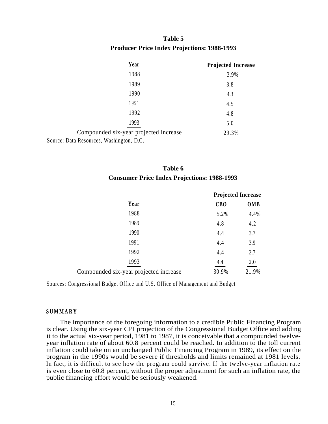### **Table 5 Producer Price Index Projections: 1988-1993**

|                                          | Year                                   | <b>Projected Increase</b> |
|------------------------------------------|----------------------------------------|---------------------------|
|                                          | 1988                                   | 3.9%                      |
|                                          | 1989                                   | 3.8                       |
|                                          | 1990                                   | 4.3                       |
|                                          | 1991                                   | 4.5                       |
|                                          | 1992                                   | 4.8                       |
|                                          | 1993                                   | 5.0                       |
|                                          | Compounded six-year projected increase | 29.3%                     |
| Source: Data Resources, Washington, D.C. |                                        |                           |

| Table 6                                            |  |
|----------------------------------------------------|--|
| <b>Consumer Price Index Projections: 1988-1993</b> |  |

|                                        |            | <b>Projected Increase</b> |
|----------------------------------------|------------|---------------------------|
| Year                                   | <b>CBO</b> | OMB                       |
| 1988                                   | 5.2%       | 4.4%                      |
| 1989                                   | 4.8        | 4.2                       |
| 1990                                   | 4.4        | 3.7                       |
| 1991                                   | 4.4        | 3.9                       |
| 1992                                   | 4.4        | 2.7                       |
| 1993                                   | 4.4        | 2.0                       |
| Compounded six-year projected increase | 30.9%      | 21.9%                     |
|                                        |            |                           |

Sources: Congressional Budget Office and U.S. Office of Management and Budget

#### **SUMMARY**

The importance of the foregoing information to a credible Public Financing Program is clear. Using the six-year CPI projection of the Congressional Budget Office and adding it to the actual six-year period, 1981 to 1987, it is conceivable that a compounded twelveyear inflation rate of about 60.8 percent could be reached. In addition to the toll current inflation could take on an unchanged Public Financing Program in 1989, its effect on the program in the 1990s would be severe if thresholds and limits remained at 1981 levels. In fact, it is difficult to see how the program could survive. If the twelve-year inflation rate is even close to 60.8 percent, without the proper adjustment for such an inflation rate, the public financing effort would be seriously weakened.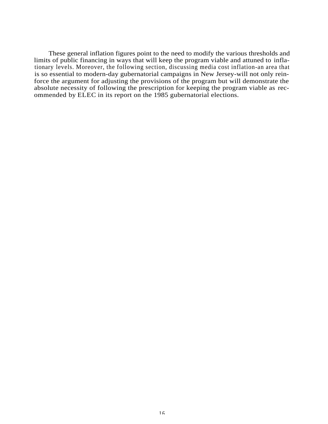These general inflation figures point to the need to modify the various thresholds and limits of public financing in ways that will keep the program viable and attuned to inflationary levels. Moreover, the following section, discussing media cost inflation-an area that is so essential to modern-day gubernatorial campaigns in New Jersey-will not only reinforce the argument for adjusting the provisions of the program but will demonstrate the absolute necessity of following the prescription for keeping the program viable as recommended by ELEC in its report on the 1985 gubernatorial elections.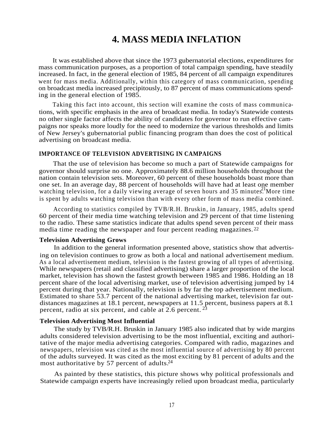### **4. MASS MEDIA INFLATION**

It was established above that since the 1973 gubernatorial elections, expenditures for mass communication purposes, as a proportion of total campaign spending, have steadily increased. In fact, in the general election of 1985, 84 percent of all campaign expenditures went for mass media. Additionally, within this category of mass communication, spending on broadcast media increased precipitously, to 87 percent of mass communications spending in the general election of 1985.

Taking this fact into account, this section will examine the costs of mass communications, with specific emphasis in the area of broadcast media. In today's Statewide contests no other single factor affects the ability of candidates for governor to run effective campaigns nor speaks more loudly for the need to modernize the various thresholds and limits of New Jersey's gubernatorial public financing program than does the cost of political advertising on broadcast media.

#### **IMPORTANCE OF TELEVISION ADVERTISING IN CAMPAIGNS**

That the use of television has become so much a part of Statewide campaigns for governor should surprise no one. Approximately 88.6 million households throughout the nation contain television sets. Moreover, 60 percent of these households boast more than one set. In an average day, 88 percent of households will have had at least one member watching television, for a daily viewing average of seven hours and 35 minutes. More time is spent by adults watching television than with every other form of mass media combined.

According to statistics compiled by TVB/R.H. Bruskin , in January, 1985, adults spend 60 percent of their media time watching television and 29 percent of that time listening to the radio. These same statistics indicate that adults spend seven percent of their mass media time reading the newspaper and four percent reading magazines. 22

#### **Television Advertising Grows**

In addition to the general information presented above, statistics show that advertising on television continues to grow as both a local and national advertisement medium. As a local advertisement medium, television is the fastest growing of all types of advertising. While newspapers (retail and classified advertising) share a larger proportion of the local market, television has shown the fastest growth between 1985 and 1986. Holding an 18 percent share of the local advertising market, use of television advertising jumped by 14 percent during that year. Nationally, television is by far the top advertisement medium. Estimated to share 53.7 percent of the national advertising market, television far outdistances magazines at 18.1 percent, newspapers at 11.5 percent, business papers at 8.1 percent, radio at six percent, and cable at  $2.6$  percent.  $^{23}$ 

#### **Television Advertising Most Influential**

The study by TVB/R.H. Bruskin in January 1985 also indicated that by wide margins adults considered television advertising to be the most influential, exciting and authoritative of the major media advertising categories. Compared with radio, magazines and newspapers, television was cited as the most influential source of advertising by 80 percent of the adults surveyed. It was cited as the most exciting by 81 percent of adults and the most authoritative by 57 percent of adults.<sup>24</sup>

As painted by these statistics, this picture shows why political professionals and Statewide campaign experts have increasingly relied upon broadcast media, particularly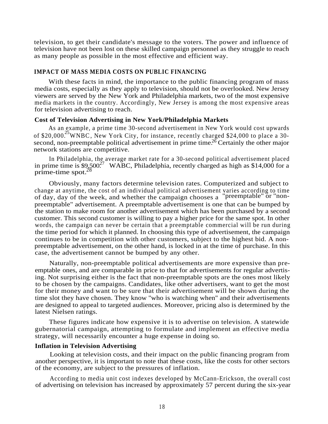television, to get their candidate's message to the voters. The power and influence of television have not been lost on these skilled campaign personnel as they struggle to reach as many people as possible in the most effective and efficient way.

#### **IMPACT OF MASS MEDIA COSTS ON PUBLIC FINANCING**

With these facts in mind, the importance to the public financing program of mass media costs, especially as they apply to television, should not be overlooked. New Jersey viewers are served by the New York and Philadelphia markets, two of the most expensive media markets in the country. Accordingly, New Jersey is among the most expensive areas for television advertising to reach.

#### **Cost of Television Advertising in New York/Philadelphia Markets**

As an example, a prime time 30-second advertisement in New York would cost upwards of \$20,000.<sup>25</sup> WNBC, New York City, for instance, recently charged \$24,000 to place a 30second, non-preemptable political advertisement in prime time.<sup>26</sup> Certainly the other major network stations are competitive.

In Philadelphia, the average market rate for a 30-second political advertisement placed in prime time is  $\frac{1}{2}$ ,  $\frac{500^2}{7}$  WABC, Philadelphia, recently charged as high as \$14,000 for a prime-time spot. $2\overline{8}$ 

Obviously, many factors determine television rates. Computerized and subject to change at anytime, the cost of an individual political advertisement varies according to time of day, day of the week, and whether the campaign chooses a ''preemptable'' or ''nonpreemptable'' advertisement. A preemptable advertisement is one that can be bumped by the station to make room for another advertisement which has been purchased by a second customer. This second customer is willing to pay a higher price for the same spot. In other words, the campaign can never be certain that a preemptable commercial will be run during the time period for which it planned. In choosing this type of advertisement, the campaign continues to be in competition with other customers, subject to the highest bid. A nonpreemptable advertisement, on the other hand, is locked in at the time of purchase. In this case, the advertisement cannot be bumped by any other.

Naturally, non-preemptable political advertisements are more expensive than preemptable ones, and are comparable in price to that for advertisements for regular advertising. Not surprising either is the fact that non-preemptable spots are the ones most likely to be chosen by the campaigns. Candidates, like other advertisers, want to get the most for their money and want to be sure that their advertisement will be shown during the time slot they have chosen. They know ''who is watching when'' and their advertisements are designed to appeal to targeted audiences. Moreover, pricing also is determined by the latest Nielsen ratings.

These figures indicate how expensive it is to advertise on television. A statewide gubernatorial campaign, attempting to formulate and implement an effective media strategy, will necessarily encounter a huge expense in doing so.

#### **Inflation in Television Advertising**

Looking at television costs, and their impact on the public financing program from another perspective, it is important to note that these costs, like the costs for other sectors of the economy, are subject to the pressures of inflation.

According to media unit cost indexes developed by McCann-Erickson, the overall cost of advertising on television has increased by approximately 57 percent during the six-year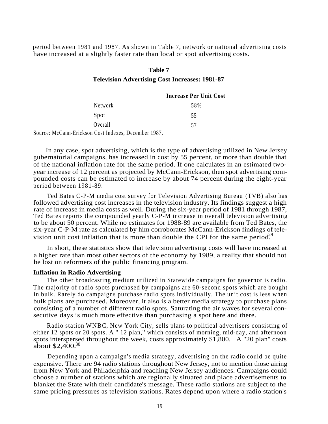period between 1981 and 1987. As shown in Table 7, network or national advertising costs have increased at a slightly faster rate than local or spot advertising costs.

#### **Table 7**

#### **Television Advertising Cost Increases: 1981-87**

|   |                      |        | <b>Increase Per Unit Cost</b> |
|---|----------------------|--------|-------------------------------|
|   | Network              |        | 58%                           |
|   | Spot                 |        | 55                            |
|   | Overall              |        | 57                            |
| - | $\sim$ $\sim$ $\sim$ | $\sim$ |                               |

Source: McCann-Erickson Cost Indexes, December 1987.

In any case, spot advertising, which is the type of advertising utilized in New Jersey gubernatorial campaigns, has increased in cost by 55 percent, or more than double that of the national inflation rate for the same period. If one calculates in an estimated twoyear increase of 12 percent as projected by McCann-Erickson, then spot advertising compounded costs can be estimated to increase by about 74 percent during the eight-year period between 1981-89.

Ted Bates C-P-M media cost survey for Television Advertising Bureau (TVB) also has followed advertising cost increases in the television industry. Its findings suggest a high rate of increase in media costs as well. During the six-year period of 1981 through 1987, Ted Bates reports the compounded yearly C-P-M increase in overall television advertising to be about 50 percent. While no estimates for 1988-89 are available from Ted Bates, the six-year C-P-M rate as calculated by him corroborates McCann-Erickson findings of television unit cost inflation that is more than double the CPI for the same period.<sup>29</sup>

In short, these statistics show that television advertising costs will have increased at a higher rate than most other sectors of the economy by 1989, a reality that should not be lost on reformers of the public financing program.

#### **Inflation in Radio Advertising**

The other broadcasting medium utilized in Statewide campaigns for governor is radio. The majority of radio spots purchased by campaigns are 60-second spots which are bought in bulk. Rarely do campaigns purchase radio spots individually. The unit cost is less when bulk plans are purchased. Moreover, it also is a better media strategy to purchase plans consisting of a number of different radio spots. Saturating the air waves for several consecutive days is much more effective than purchasing a spot here and there.

Radio station WNBC, New York City, sells plans to political advertisers consisting of either 12 spots or 20 spots. A '' 12 plan,'' which consists of morning, mid-day, and afternoon spots interspersed throughout the week, costs approximately \$1,800. A "20 plan'' costs about  $$2,400.^{30}$ 

Depending upon a campaign's media strategy, advertising on the radio could be quite expensive. There are 94 radio stations throughout New Jersey, not to mention those airing from New York and Philadelphia and reaching New Jersey audiences. Campaigns could choose a number of stations which are regionally situated and place advertisements to blanket the State with their candidate's message. These radio stations are subject to the same pricing pressures as television stations. Rates depend upon where a radio station's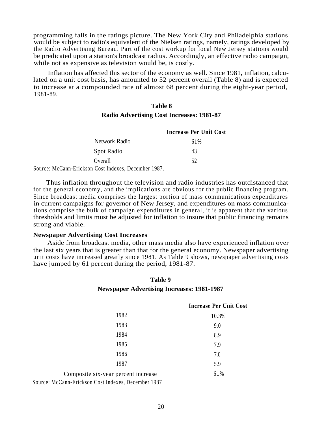programming falls in the ratings picture. The New York City and Philadelphia stations would be subject to radio's equivalent of the Nielsen ratings, namely, ratings developed by the Radio Advertising Bureau. Part of the cost workup for local New Jersey stations would be predicated upon a station's broadcast radius. Accordingly, an effective radio campaign, while not as expensive as television would be, is costly.

Inflation has affected this sector of the economy as well. Since 1981, inflation, calculated on a unit cost basis, has amounted to 52 percent overall (Table 8) and is expected to increase at a compounded rate of almost 68 percent during the eight-year period, 1981-89.

### **Table 8 Radio Advertising Cost Increases: 1981-87**

|                                                                                                                                                                                                                                                                                                                                                                                                             | <b>Increase Per Unit Cost</b> |
|-------------------------------------------------------------------------------------------------------------------------------------------------------------------------------------------------------------------------------------------------------------------------------------------------------------------------------------------------------------------------------------------------------------|-------------------------------|
| Network Radio                                                                                                                                                                                                                                                                                                                                                                                               | 61%                           |
| Spot Radio                                                                                                                                                                                                                                                                                                                                                                                                  | 43                            |
| Overall                                                                                                                                                                                                                                                                                                                                                                                                     | 52                            |
| $\gamma$ $\Gamma$ $\gamma$ $\Gamma$ $\gamma$ $\Gamma$ $\gamma$ $\Gamma$ $\gamma$ $\Gamma$ $\gamma$ $\Gamma$ $\gamma$ $\Gamma$ $\gamma$ $\Gamma$ $\gamma$ $\Gamma$ $\gamma$ $\Gamma$ $\gamma$ $\Gamma$ $\gamma$ $\Gamma$ $\gamma$ $\Gamma$ $\gamma$ $\Gamma$ $\gamma$ $\Gamma$ $\gamma$ $\Gamma$ $\gamma$ $\Gamma$ $\gamma$ $\Gamma$ $\gamma$ $\Gamma$ $\gamma$ $\Gamma$ $\gamma$ $\Gamma$ $\gamma$ $\Gamma$ |                               |

Source: McCann-Erickson Cost Indexes, December 1987.

Thus inflation throughout the television and radio industries has outdistanced that for the general economy, and the implications are obvious for the public financing program. Since broadcast media comprises the largest portion of mass communications expenditures in current campaigns for governor of New Jersey, and expenditures on mass communications comprise the bulk of campaign expenditures in general, it is apparent that the various thresholds and limits must be adjusted for inflation to insure that public financing remains strong and viable.

#### **Newspaper Advertising Cost Increases**

Aside from broadcast media, other mass media also have experienced inflation over the last six years that is greater than that for the general economy. Newspaper advertising unit costs have increased greatly since 1981. As Table 9 shows, newspaper advertising costs have jumped by 61 percent during the period, 1981-87.

#### **Table 9**

#### **Newspaper Advertising Increases: 1981-1987**

#### **Increase Per Unit Cost**

| 1982                                | 10.3% |
|-------------------------------------|-------|
| 1983                                | 9.0   |
| 1984                                | 8.9   |
| 1985                                | 7.9   |
| 1986                                | 7.0   |
| 1987                                | 5.9   |
| Composite six-year percent increase | 61%   |

Source: McCann-Erickson Cost Indexes, December 1987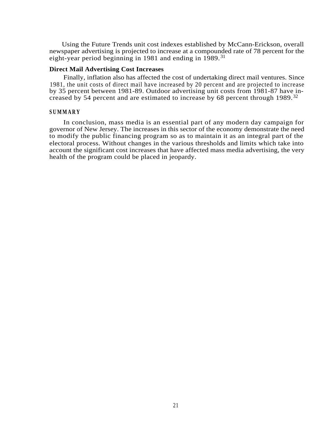Using the Future Trends unit cost indexes established by McCann-Erickson, overall newspaper advertising is projected to increase at a compounded rate of 78 percent for the eight-year period beginning in 1981 and ending in 1989. 31

#### **Direct Mail Advertising Cost Increases**

Finally, inflation also has affected the cost of undertaking direct mail ventures. Since 1981, the unit costs of direct mail have increased by 20 percent and are projected to increase by 35 percent between 1981-89. Outdoor advertising unit costs from 1981-87 have increased by 54 percent and are estimated to increase by 68 percent through 1989.<sup>32</sup>

#### **SUMMARY**

In conclusion, mass media is an essential part of any modern day campaign for governor of New Jersey. The increases in this sector of the economy demonstrate the need to modify the public financing program so as to maintain it as an integral part of the electoral process. Without changes in the various thresholds and limits which take into account the significant cost increases that have affected mass media advertising, the very health of the program could be placed in jeopardy.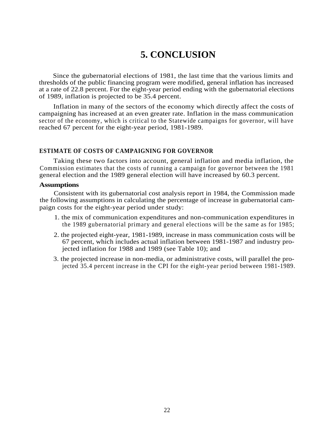### **5. CONCLUSION**

Since the gubernatorial elections of 1981, the last time that the various limits and thresholds of the public financing program were modified, general inflation has increased at a rate of 22.8 percent. For the eight-year period ending with the gubernatorial elections of 1989, inflation is projected to be 35.4 percent.

Inflation in many of the sectors of the economy which directly affect the costs of campaigning has increased at an even greater rate. Inflation in the mass communication sector of the economy, which is critical to the Statewide campaigns for governor, will have reached 67 percent for the eight-year period, 1981-1989.

#### **ESTIMATE OF COSTS OF CAMPAIGNING FOR GOVERNOR**

Taking these two factors into account, general inflation and media inflation, the Commission estimates that the costs of running a campaign for governor between the 1981 general election and the 1989 general election will have increased by 60.3 percent.

#### **Assumptions**

Consistent with its gubernatorial cost analysis report in 1984, the Commission made the following assumptions in calculating the percentage of increase in gubernatorial campaign costs for the eight-year period under study:

- 1. the mix of communication expenditures and non-communication expenditures in the 1989 gubernatorial primary and general elections will be the same as for 1985;
- 2. the projected eight-year, 1981-1989, increase in mass communication costs will be 67 percent, which includes actual inflation between 1981-1987 and industry projected inflation for 1988 and 1989 (see Table 10); and
- 3. the projected increase in non-media, or administrative costs, will parallel the projected 35.4 percent increase in the CPI for the eight-year period between 1981-1989.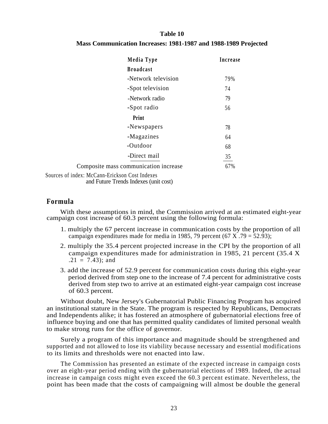#### **Table 10**

#### **Mass Communication Increases: 1981-1987 and 1988-1989 Projected**

|                                                | Media Type          | Increase |
|------------------------------------------------|---------------------|----------|
|                                                | <b>Broadcast</b>    |          |
|                                                | -Network television | 79%      |
|                                                | -Spot television    | 74       |
|                                                | -Network radio      | 79       |
|                                                | -Spot radio         | 56       |
|                                                | Print               |          |
|                                                | -Newspapers         | 78       |
|                                                | -Magazines          | 64       |
|                                                | -Outdoor            | 68       |
|                                                | -Direct mail        | 35       |
| Composite mass communication increase          |                     | 67%      |
| Sources of index: McCann-Erickson Cost Indexes |                     |          |

and Future Trends Indexes (unit cost)

### **Formula**

With these assumptions in mind, the Commission arrived at an estimated eight-year campaign cost increase of 60.3 percent using the following formula:

- 1. multiply the 67 percent increase in communication costs by the proportion of all campaign expenditures made for media in 1985, 79 percent  $(67 \text{ X} \cdot .79 = 52.93)$ ;
- 2. multiply the 35.4 percent projected increase in the CPI by the proportion of all campaign expenditures made for administration in 1985, 21 percent (35.4 X  $.21 = 7.43$ ; and
- 3. add the increase of 52.9 percent for communication costs during this eight-year period derived from step one to the increase of 7.4 percent for administrative costs derived from step two to arrive at an estimated eight-year campaign cost increase of 60.3 percent.

Without doubt, New Jersey's Gubernatorial Public Financing Program has acquired an institutional stature in the State. The program is respected by Republicans, Democrats and Independents alike; it has fostered an atmosphere of gubernatorial elections free of influence buying and one that has permitted quality candidates of limited personal wealth to make strong runs for the office of governor.

Surely a program of this importance and magnitude should be strengthened and supported and not allowed to lose its viability because necessary and essential modifications to its limits and thresholds were not enacted into law.

The Commission has presented an estimate of the expected increase in campaign costs over an eight-year period ending with the gubernatorial elections of 1989. Indeed, the actual increase in campaign costs might even exceed the 60.3 percent estimate. Nevertheless, the point has been made that the costs of campaigning will almost be double the general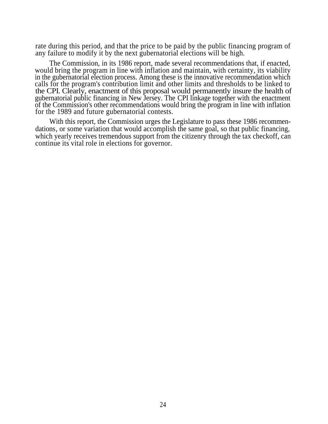rate during this period, and that the price to be paid by the public financing program of any failure to modify it by the next gubernatorial elections will be high.

The Commission, in its 1986 report, made several recommendations that, if enacted, would bring the program in line with inflation and maintain, with certainty, its viability in the gubernatorial election process. Among these is the innovative recommendation which calls for the program's contribution limit and other limits and thresholds to be linked to the CPI. Clearly, enactment of this proposal would permanently insure the health of gubernatorial public financing in New Jersey. The CPI linkage together with the enactment of the Commission's other recommendations would bring the program in line with inflation for the 1989 and future gubernatorial contests.

With this report, the Commission urges the Legislature to pass these 1986 recommendations, or some variation that would accomplish the same goal, so that public financing, which yearly receives tremendous support from the citizenry through the tax checkoff, can continue its vital role in elections for governor.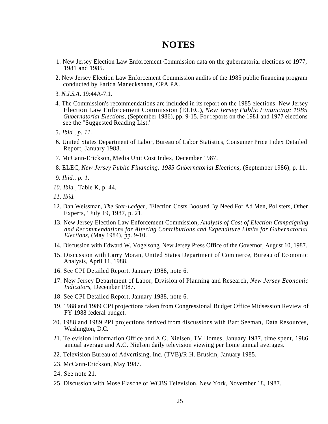### **NOTES**

- 1. New Jersey Election Law Enforcement Commission data on the gubernatorial elections of 1977, 1981 and 1985.
- 2. New Jersey Election Law Enforcement Commission audits of the 1985 public financing program conducted by Farida Maneckshana, CPA PA.
- 3. *N.J.S.A.* 19:44A-7.1.
- 4. The Commission's recommendations are included in its report on the 1985 elections: New Jersey Election Law Enforcement Commission (ELEC), *New Jersey Public Financing: 1985 Gubernatorial Elections,* (September 1986), pp. 9-15. For reports on the 1981 and 1977 elections see the ''Suggested Reading List.''
- 5. *Ibid., p. 11.*
- 6. United States Department of Labor, Bureau of Labor Statistics, Consumer Price Index Detailed Report, January 1988.
- 7. McCann-Erickson, Media Unit Cost Index, December 1987.
- 8. ELEC, *New Jersey Public Financing: 1985 Gubernatorial Elections,* (September 1986), p. 11.
- 9. *Ibid., p. 1.*
- *10. Ibid.,* Table K, p. 44.
- *11. Ibid.*
- 12. Dan Weissman, *The Star-Ledger,* ''Election Costs Boosted By Need For Ad Men, Pollsters, Other Experts,'' July 19, 1987, p. 21.
- 13. New Jersey Election Law Enforcement Commission, *Analysis of Cost of Election Campaigning and Recommendations for Altering Contributions and Expenditure Limits for Gubernatorial Elections,* (May 1984), pp. 9-10.
- 14. Discussion with Edward W. Vogelsong, New Jersey Press Office of the Governor, August 10, 1987.
- 15. Discussion with Larry Moran, United States Department of Commerce, Bureau of Economic Analysis, April 11, 1988.
- 16. See CPI Detailed Report, January 1988, note 6.
- 17. New Jersey Department of Labor, Division of Planning and Research, *New Jersey Economic Indicators,* December 1987.
- 18. See CPI Detailed Report, January 1988, note 6.
- 19. 1988 and 1989 CPI projections taken from Congressional Budget Office Midsession Review of FY 1988 federal budget.
- 20. 1988 and 1989 PPI projections derived from discussions with Bart Seeman, Data Resources, Washington, D.C.
- 21. Television Information Office and A.C. Nielsen, TV Homes, January 1987, time spent, 1986 annual average and A.C. Nielsen daily television viewing per home annual averages.
- 22. Television Bureau of Advertising, Inc. (TVB)/R.H. Bruskin, January 1985.
- 23. McCann-Erickson, May 1987.
- 24. See note 21.
- 25. Discussion with Mose Flasche of WCBS Television, New York, November 18, 1987.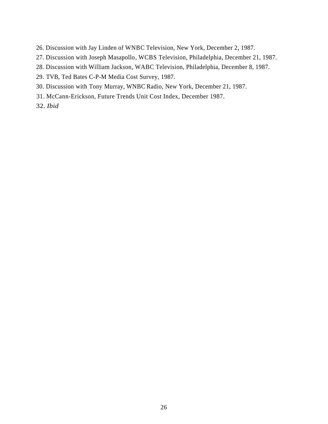- 26. Discussion with Jay Linden of WNBC Television, New York, December 2, 1987.
- 27. Discussion with Joseph Masapollo, WCBS Television, Philadelphia, December 21, 1987.
- 28. Discussion with William Jackson, WABC Television, Philadelphia, December 8, 1987.
- 29. TVB, Ted Bates C-P-M Media Cost Survey, 1987.
- 30. Discussion with Tony Murray, WNBC Radio, New York, December 21, 1987.
- 31. McCann-Erickson, Future Trends Unit Cost Index, December 1987.
- 32. *Ibid*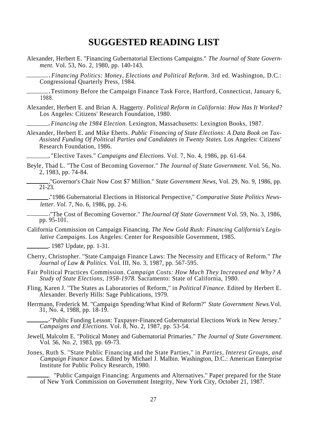### **SUGGESTED READING LIST**

Alexander, Herbert E. ''Financing Gubernatorial Elections Campaigns.'' *The Journal of State Government.* Vol. 53, No. 2, 1980, pp. 140-143.

*Financing Politics: Money, Elections and Political Reform.* 3rd ed. Washington, D.C.: . Congressional Quarterly Press, 1984.

Testimony Before the Campaign Finance Task Force, Hartford, Connecticut, January 6, . 1988.

Alexander, Herbert E. and Brian A. Haggerty. *Political Reform in California: How Has It Worked?* Los Angeles: Citizens' Research Foundation, 1980.

*Financing the 1984 Election.* Lexington, Massachusetts: Lexington Books, 1987. .

Alexander, Herbert E. and Mike Eberts. *Public Financing of State Elections: A Data Book on Tax-Assisted Funding Of Political Parties and Candidates in Twenty States.* Los Angeles: Citizens' Research Foundation, 1986.

"Elective Taxes.'' *Campaigns and Elections.* Vol. 7*,* No. 4, 1986, pp. 61-64. .

Beyle, Thad L. ''The Cost of Becoming Governor.'' *The Journal of State Government.* Vol*.* 56, No. 2, 1983, pp. 74-84.

''Governor's Chair Now Cost \$7 Million.'' *State Government News,* Vol. 29, No. 9, 1986, pp. . 21-23.

"1986 Gubernatorial Elections in Historical Perspective,'' *Comparative State Politics News-*. *letter. Vol.* 7, No. 6, 1986, pp. 2-6.

''The Cost of Becoming Governor.'' *TheJournal Of State Government* Vol*.* 59, No. 3, 1986, . pp. 95-101.

California Commission on Campaign Financing. *The New Gold Rush: Financing California's Legislative Campaigns.* Los Angeles: Center for Responsible Government, 1985.

1987 Update, pp. 1-31. .

- Cherry, Christopher. ''State Campaign Finance Laws: The Necessity and Efficacy of Reform.'' *The Journal of Law & Politics.* Vol. III, No. 3, 1987, pp. 567-595.
- Fair Political Practices Commission. *Campaign Costs: How Much They Increased and Why? A Study of State Elections, 1958-1978.* Sacramento: State of California, 1980.
- Fling, Karen J. ''The States as Laboratories of Reform,'' in *Political Finance.* Edited by Herbert E. Alexander. Beverly Hills: Sage Publications, 1979.
- Herrmann, Frederick M. ''Campaign Spending:What Kind of Reform?'' *State Government News.*Vol*.* 31, No. 4, 1988, pp. 18-19.

''Public Funding Lesson: Taxpayer-Financed Gubernatorial Elections Work in New Jersey.'' .*Campaigns and Elections.* Vol. 8, No. 2, 1987, pp. 53-54*.*

- Jewell, Malcolm E. ''Political Money and Gubernatorial Primaries.'' *The Journal of State Government.* Vol*.* 56*,* No. *2,* 1983, pp. 69-73.
- Jones, Ruth S. ''State Public Financing and the State Parties,'' in *Parties, Interest Groups, and Campaign Finance Laws.* Edited by Michael J. Malbin. Washington, D.C.: American Enterprise Institute for Public Policy Research, 1980*.*

. ''Public Campaign Financing: Arguments and Alternatives.'' Paper prepared for the State of New York Commission on Government Integrity, New York City, October 21, 1987*.*